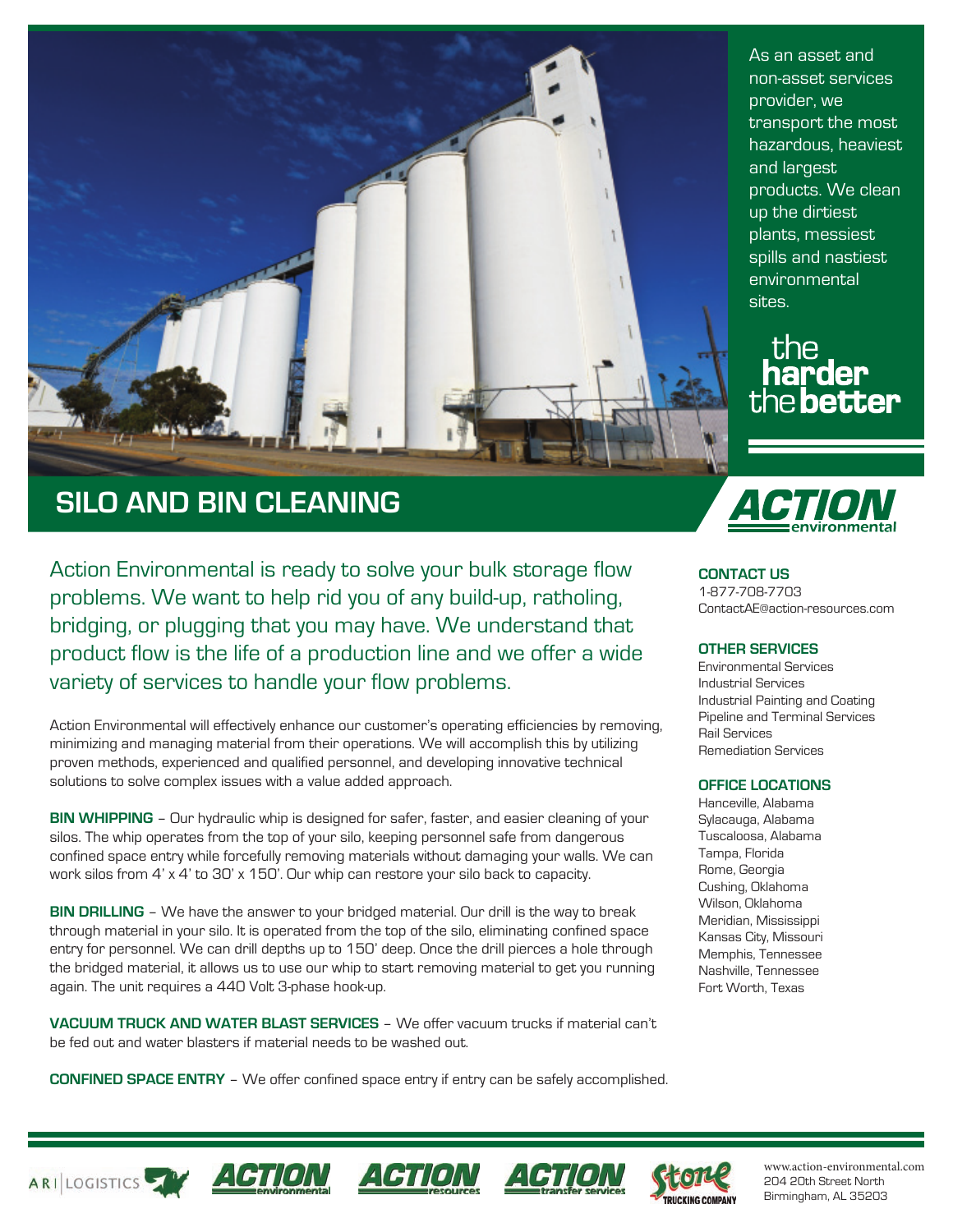

## **SILO AND BIN CLEANING**

Action Environmental is ready to solve your bulk storage flow problems. We want to help rid you of any build-up, ratholing, bridging, or plugging that you may have. We understand that product flow is the life of a production line and we offer a wide variety of services to handle your flow problems.

Action Environmental will effectively enhance our customer's operating efficiencies by removing, minimizing and managing material from their operations. We will accomplish this by utilizing proven methods, experienced and qualified personnel, and developing innovative technical solutions to solve complex issues with a value added approach.

**BIN WHIPPING** – Our hydraulic whip is designed for safer, faster, and easier cleaning of your silos. The whip operates from the top of your silo, keeping personnel safe from dangerous confined space entry while forcefully removing materials without damaging your walls. We can work silos from 4' x 4' to 30' x 150'. Our whip can restore your silo back to capacity.

**BIN DRILLING** – We have the answer to your bridged material. Our drill is the way to break through material in your silo. It is operated from the top of the silo, eliminating confined space entry for personnel. We can drill depths up to 150' deep. Once the drill pierces a hole through the bridged material, it allows us to use our whip to start removing material to get you running again. The unit requires a 440 Volt 3-phase hook-up.

**VACUUM TRUCK AND WATER BLAST SERVICES** – We offer vacuum trucks if material can't be fed out and water blasters if material needs to be washed out.

**CONFINED SPACE ENTRY** – We offer confined space entry if entry can be safely accomplished.

transport the most hazardous, heaviest and largest products. We clean up the dirtiest plants, messiest spills and nastiest environmental sites.

As an asset and non-asset services

provider, we



**CONTACT US** 1-877-708-7703 ContactAE@action-resources.com

#### **OTHER SERVICES**

Environmental Services Industrial Services Industrial Painting and Coating Pipeline and Terminal Services Rail Services Remediation Services

#### **OFFICE LOCATIONS**

Hanceville, Alabama Sylacauga, Alabama Tuscaloosa, Alabama Tampa, Florida Rome, Georgia Cushing, Oklahoma Wilson, Oklahoma Meridian, Mississippi Kansas City, Missouri Memphis, Tennessee Nashville, Tennessee Fort Worth, Texas











www.action-environmental.com 204 20th Street North Birmingham, AL 35203